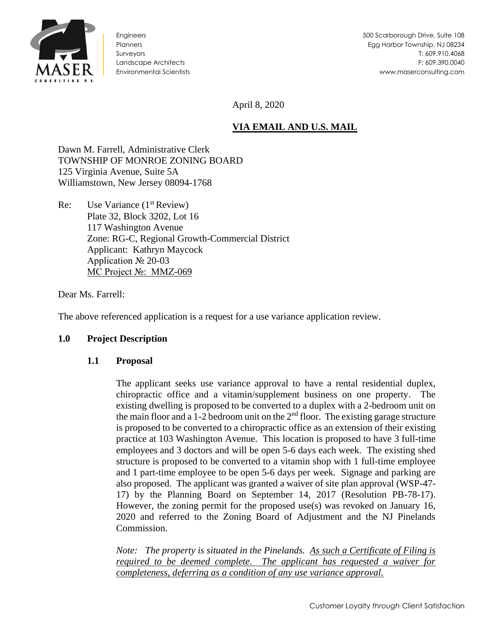

Engineers **Planners** Surveyors Landscape Architects Environmental Scientists

April 8, 2020

# **VIA EMAIL AND U.S. MAIL**

Dawn M. Farrell, Administrative Clerk TOWNSHIP OF MONROE ZONING BOARD 125 Virginia Avenue, Suite 5A Williamstown, New Jersey 08094-1768

Re: Use Variance  $(1<sup>st</sup> Review)$ Plate 32, Block 3202, Lot 16 117 Washington Avenue Zone: RG-C, Regional Growth-Commercial District Applicant: Kathryn Maycock Application № 20-03 MC Project №: MMZ-069

Dear Ms. Farrell:

The above referenced application is a request for a use variance application review.

#### **1.0 Project Description**

#### **1.1 Proposal**

The applicant seeks use variance approval to have a rental residential duplex, chiropractic office and a vitamin/supplement business on one property. The existing dwelling is proposed to be converted to a duplex with a 2-bedroom unit on the main floor and a 1-2 bedroom unit on the  $2<sup>nd</sup>$  floor. The existing garage structure is proposed to be converted to a chiropractic office as an extension of their existing practice at 103 Washington Avenue. This location is proposed to have 3 full-time employees and 3 doctors and will be open 5-6 days each week. The existing shed structure is proposed to be converted to a vitamin shop with 1 full-time employee and 1 part-time employee to be open 5-6 days per week. Signage and parking are also proposed. The applicant was granted a waiver of site plan approval (WSP-47- 17) by the Planning Board on September 14, 2017 (Resolution PB-78-17). However, the zoning permit for the proposed use(s) was revoked on January 16, 2020 and referred to the Zoning Board of Adjustment and the NJ Pinelands Commission.

*Note: The property is situated in the Pinelands. As such a Certificate of Filing is required to be deemed complete. The applicant has requested a waiver for completeness, deferring as a condition of any use variance approval.*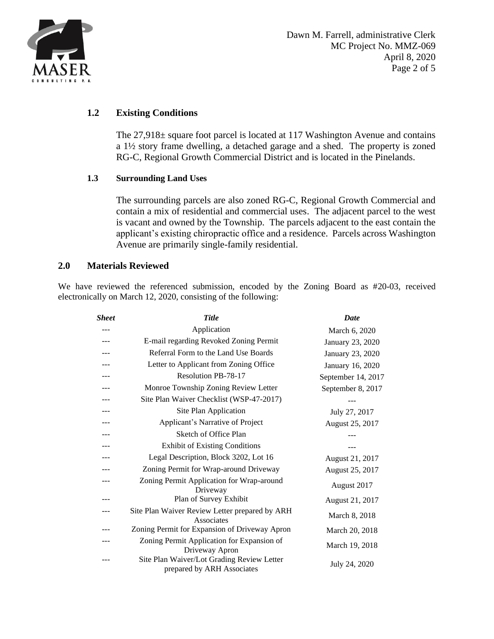

# **1.2 Existing Conditions**

The 27,918± square foot parcel is located at 117 Washington Avenue and contains a 1½ story frame dwelling, a detached garage and a shed. The property is zoned RG-C, Regional Growth Commercial District and is located in the Pinelands.

### **1.3 Surrounding Land Uses**

The surrounding parcels are also zoned RG-C, Regional Growth Commercial and contain a mix of residential and commercial uses. The adjacent parcel to the west is vacant and owned by the Township. The parcels adjacent to the east contain the applicant's existing chiropractic office and a residence. Parcels across Washington Avenue are primarily single-family residential.

### **2.0 Materials Reviewed**

We have reviewed the referenced submission, encoded by the Zoning Board as #20-03, received electronically on March 12, 2020, consisting of the following:

| Sheet | <b>Title</b>                                                             | <b>Date</b>        |
|-------|--------------------------------------------------------------------------|--------------------|
| ---   | Application                                                              | March 6, 2020      |
| ---   | E-mail regarding Revoked Zoning Permit                                   | January 23, 2020   |
|       | Referral Form to the Land Use Boards                                     | January 23, 2020   |
|       | Letter to Applicant from Zoning Office                                   | January 16, 2020   |
| ---   | Resolution PB-78-17                                                      | September 14, 2017 |
|       | Monroe Township Zoning Review Letter                                     | September 8, 2017  |
|       | Site Plan Waiver Checklist (WSP-47-2017)                                 |                    |
| ---   | Site Plan Application                                                    | July 27, 2017      |
|       | Applicant's Narrative of Project                                         | August 25, 2017    |
|       | Sketch of Office Plan                                                    |                    |
| ---   | <b>Exhibit of Existing Conditions</b>                                    |                    |
|       | Legal Description, Block 3202, Lot 16                                    | August 21, 2017    |
|       | Zoning Permit for Wrap-around Driveway                                   | August 25, 2017    |
| ---   | Zoning Permit Application for Wrap-around<br>Driveway                    | August 2017        |
|       | Plan of Survey Exhibit                                                   | August 21, 2017    |
|       | Site Plan Waiver Review Letter prepared by ARH<br>Associates             | March 8, 2018      |
|       | Zoning Permit for Expansion of Driveway Apron                            | March 20, 2018     |
|       | Zoning Permit Application for Expansion of<br>Driveway Apron             | March 19, 2018     |
|       | Site Plan Waiver/Lot Grading Review Letter<br>prepared by ARH Associates | July 24, 2020      |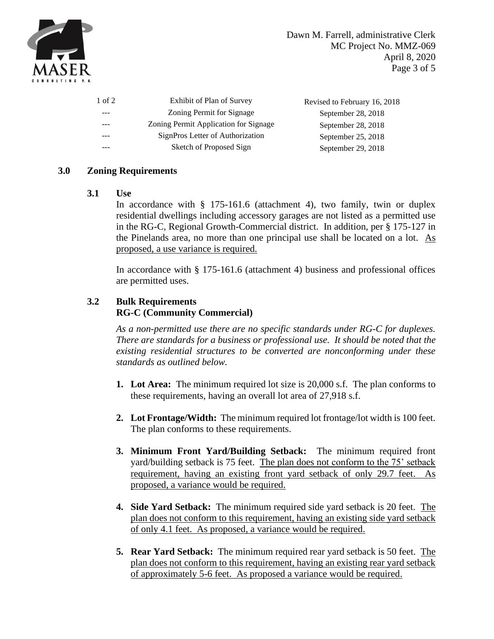

| 1 of 2 | Exhibit of Plan of Survey             | Revised to February 16, 2018 |
|--------|---------------------------------------|------------------------------|
| ---    | Zoning Permit for Signage             | September 28, 2018           |
|        | Zoning Permit Application for Signage | September 28, 2018           |
| ---    | SignPros Letter of Authorization      | September 25, 2018           |
|        | Sketch of Proposed Sign               | September 29, 2018           |

## **3.0 Zoning Requirements**

**3.1 Use**

In accordance with § 175-161.6 (attachment 4), two family, twin or duplex residential dwellings including accessory garages are not listed as a permitted use in the RG-C, Regional Growth-Commercial district. In addition, per § 175-127 in the Pinelands area, no more than one principal use shall be located on a lot. As proposed, a use variance is required.

In accordance with § 175-161.6 (attachment 4) business and professional offices are permitted uses.

# **3.2 Bulk Requirements RG-C (Community Commercial)**

*As a non-permitted use there are no specific standards under RG-C for duplexes. There are standards for a business or professional use. It should be noted that the existing residential structures to be converted are nonconforming under these standards as outlined below.*

- **1. Lot Area:** The minimum required lot size is 20,000 s.f. The plan conforms to these requirements, having an overall lot area of 27,918 s.f.
- **2. Lot Frontage/Width:** The minimum required lot frontage/lot width is 100 feet. The plan conforms to these requirements.
- **3. Minimum Front Yard/Building Setback:** The minimum required front yard/building setback is 75 feet. The plan does not conform to the 75' setback requirement, having an existing front yard setback of only 29.7 feet. As proposed, a variance would be required.
- **4. Side Yard Setback:** The minimum required side yard setback is 20 feet. The plan does not conform to this requirement, having an existing side yard setback of only 4.1 feet. As proposed, a variance would be required.
- **5. Rear Yard Setback:** The minimum required rear yard setback is 50 feet. The plan does not conform to this requirement, having an existing rear yard setback of approximately 5-6 feet. As proposed a variance would be required.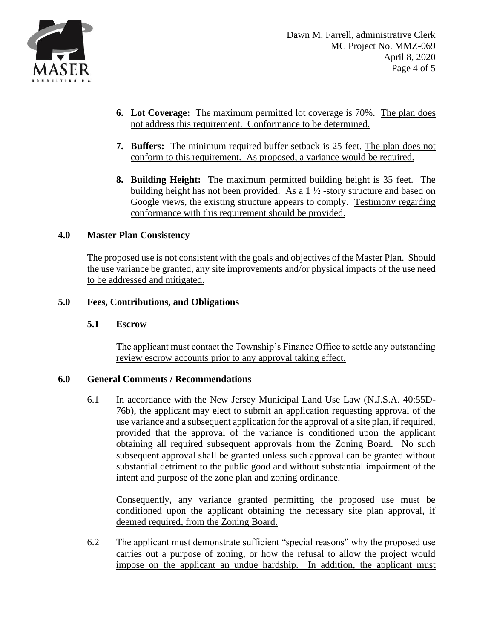

- **6. Lot Coverage:** The maximum permitted lot coverage is 70%. The plan does not address this requirement. Conformance to be determined.
- **7. Buffers:** The minimum required buffer setback is 25 feet. The plan does not conform to this requirement. As proposed, a variance would be required.
- **8. Building Height:** The maximum permitted building height is 35 feet. The building height has not been provided. As a 1 ½ -story structure and based on Google views, the existing structure appears to comply. Testimony regarding conformance with this requirement should be provided.

## **4.0 Master Plan Consistency**

The proposed use is not consistent with the goals and objectives of the Master Plan. Should the use variance be granted, any site improvements and/or physical impacts of the use need to be addressed and mitigated.

### **5.0 Fees, Contributions, and Obligations**

#### **5.1 Escrow**

The applicant must contact the Township's Finance Office to settle any outstanding review escrow accounts prior to any approval taking effect.

#### **6.0 General Comments / Recommendations**

6.1 In accordance with the New Jersey Municipal Land Use Law (N.J.S.A. 40:55D-76b), the applicant may elect to submit an application requesting approval of the use variance and a subsequent application for the approval of a site plan, if required, provided that the approval of the variance is conditioned upon the applicant obtaining all required subsequent approvals from the Zoning Board. No such subsequent approval shall be granted unless such approval can be granted without substantial detriment to the public good and without substantial impairment of the intent and purpose of the zone plan and zoning ordinance.

Consequently, any variance granted permitting the proposed use must be conditioned upon the applicant obtaining the necessary site plan approval, if deemed required, from the Zoning Board.

6.2 The applicant must demonstrate sufficient "special reasons" why the proposed use carries out a purpose of zoning, or how the refusal to allow the project would impose on the applicant an undue hardship. In addition, the applicant must